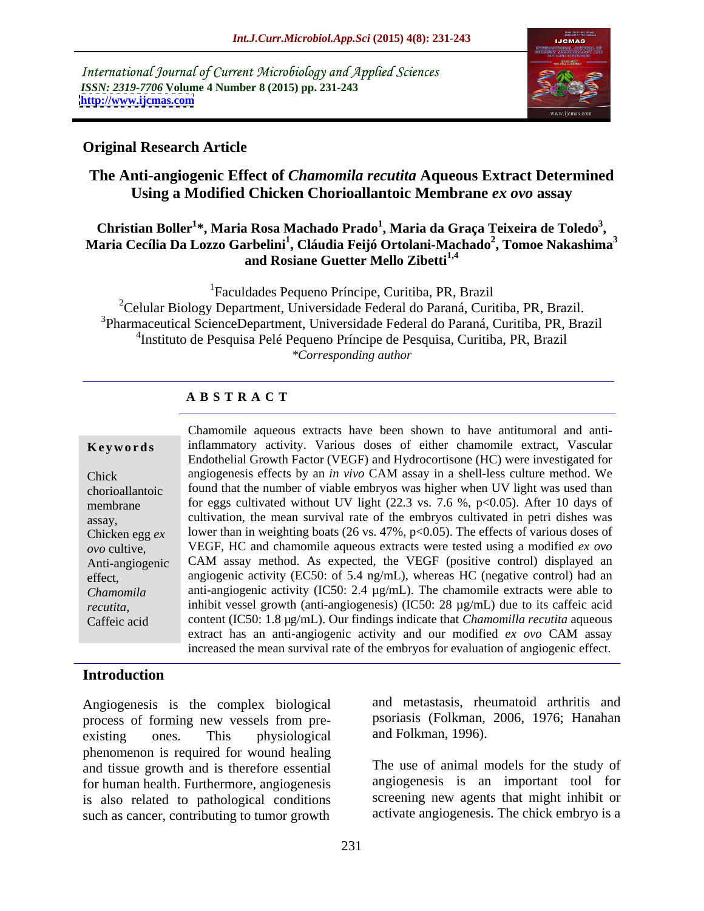International Journal of Current Microbiology and Applied Sciences *ISSN: 2319-7706* **Volume 4 Number 8 (2015) pp. 231-243 <http://www.ijcmas.com>**



## **Original Research Article**

## **The Anti-angiogenic Effect of** *Chamomila recutita* **Aqueous Extract Determined Using a Modified Chicken Chorioallantoic Membrane** *ex ovo* **assay**

### **Christian Boller1 \*, Maria Rosa Machado Prado<sup>1</sup> , Maria da Graça Teixeira de Toledo<sup>3</sup> , Maria Cecília Da Lozzo Garbelini<sup>1</sup> , Cláudia Feijó Ortolani-Machado<sup>2</sup> , Tomoe Nakashima<sup>3</sup> and Rosiane Guetter Mello Zibetti1,4**

<sup>1</sup>Faculdades Pequeno Príncipe, Curitiba, PR, Brazil<br><sup>2</sup>Celular Biology Department, Universidade Federal do Paraná, Curitiba, PR, Brazil. <sup>3</sup>Pharmaceutical ScienceDepartment, Universidade Federal do Paraná, Curitiba, PR, Brazil. 4 Instituto de Pesquisa Pelé Pequeno Príncipe de Pesquisa, Curitiba, PR, Brazil *\*Corresponding author*

## **A B S T R A C T**

*recutita*, Caffeic acid

Chamomile aqueous extracts have been shown to have antitumoral and anti-**Keywords** inflammatory activity. Various doses of either chamomile extract, Vascular Endothelial Growth Factor (VEGF) and Hydrocortisone (HC) were investigated for angiogenesis effects by an *in vivo* CAM assay in a shell-less culture method. We Chick found that the number of viable embryos was higher when UV light was used than chorioallantoic for eggs cultivated without UV light (22.3 vs. 7.6 %, p<0.05). After 10 days of membrane cultivation, the mean survival rate of the embryos cultivated in petri dishes was assay, Chicken egg  $ex$  lower than in weighting boats (26 vs. 47%, p<0.05). The effects of various doses of VEGF, HC and chamomile aqueous extracts were tested using a modified *ex ovo ovo* cultive, CAM assay method. As expected, the VEGF (positive control) displayed an Anti-angiogenic angiogenic activity (EC50: of 5.4 ng/mL), whereas HC (negative control) had an effect, anti-angiogenic activity (IC50: 2.4 µg/mL). The chamomile extracts were able to *Chamomila* inhibit vessel growth (anti-angiogenesis) (IC50:  $28 \mu g/mL$ ) due to its caffeic acid content (IC50: 1.8 µg/mL). Our findings indicate that *Chamomilla recutita* aqueous extract has an anti-angiogenic activity and our modified *ex ovo* CAM assay increased the mean survival rate of the embryos for evaluation of angiogenic effect.

## **Introduction**

Angiogenesis is the complex biological process of forming new vessels from pre existing ones. This physiological and Folkman, 1996). phenomenon is required for wound healing and tissue growth and is therefore essential for human health. Furthermore, angiogenesis is also related to pathological conditions such as cancer, contributing to tumor growth

and metastasis, rheumatoid arthritis and psoriasis (Folkman, 2006, 1976; Hanahan and Folkman, 1996).

The use of animal models for the study of angiogenesis is an important tool for screening new agents that might inhibit or activate angiogenesis. The chick embryo is a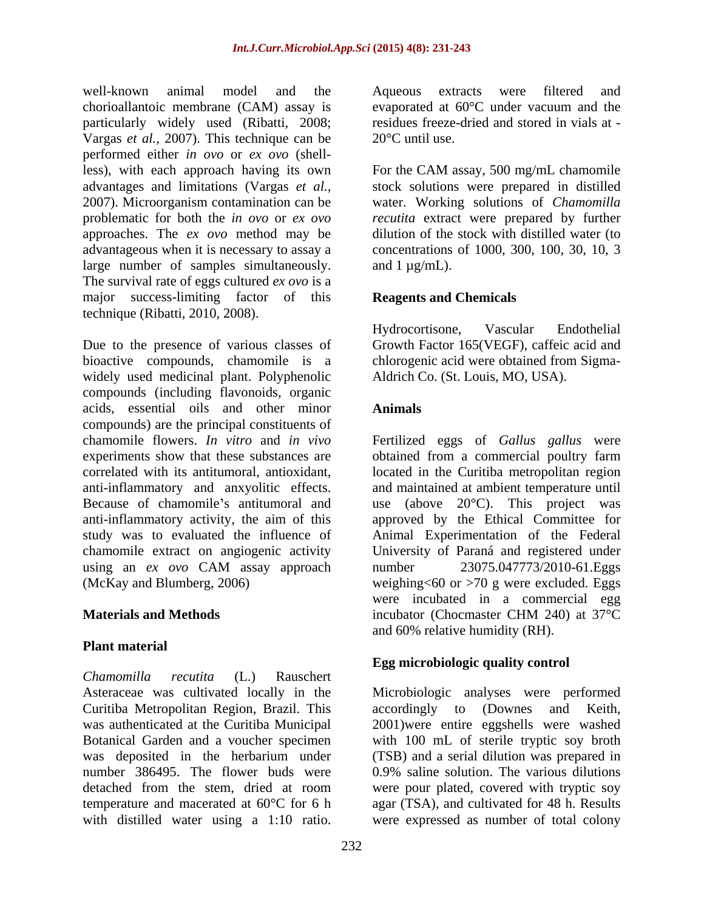well-known animal model and the Aqueous extracts were filtered and chorioallantoic membrane (CAM) assay is evaporated at 60°C under vacuum and the particularly widely used (Ribatti, 2008; Vargas *et al.,* 2007). This technique can be performed either *in ovo* or *ex ovo* (shellless), with each approach having its own For the CAM assay, 500 mg/mL chamomile advantages and limitations (Vargas *et al.,* stock solutions were prepared in distilled 2007). Microorganism contamination can be problematic for both the *in ovo* or *ex ovo recutita* extract were prepared by further approaches. The *ex ovo* method may be advantageous when it is necessary to assay a large number of samples simultaneously. The survival rate of eggs cultured *ex ovo* is a major success-limiting factor of this technique (Ribatti, 2010, 2008).

Due to the presence of various classes of Growth Factor 165(VEGF), caffeic acid and bioactive compounds, chamomile is a widely used medicinal plant. Polyphenolic compounds (including flavonoids, organic acids, essential oils and other minor compounds) are the principal constituents of chamomile flowers. *In vitro* and *in vivo* Fertilized eggs of *Gallus gallus* were experiments show that these substances are obtained from a commercial poultry farm correlated with its antitumoral, antioxidant, located in the Curitiba metropolitan region anti-inflammatory and anxyolitic effects. and maintained at ambient temperature until Because of chamomile's antitumoral and use (above  $20^{\circ}$ C). This project was anti-inflammatory activity, the aim of this approved by the Ethical Committee for study was to evaluated the influence of Animal Experimentation of the Federal chamomile extract on angiogenic activity University of Paraná and registered under using an *ex ovo* CAM assay approach (McKay and Blumberg, 2006) weighing<60 or >70 g were excluded. Eggs well-known aimidal and the Aqueons extracts were filtered and<br>
well-known and the periodic of the state of the state of the state of the<br>
periodic water in the state of the state of the state of the state of the<br>
periodic

## **Plant material**

*Chamomilla recutita* (L.) Rauschert Curitiba Metropolitan Region, Brazil. This

evaporated at 60°C under vacuum and the residues freeze-dried and stored in vials at -  $20^{\circ}$ C until use.

water. Working solutions of *Chamomilla*  dilution of the stock with distilled water (to concentrations of 1000, 300, 100, 30, 10, 3 and  $1 \mu g/mL$ ).

## **Reagents and Chemicals**

Hydrocortisone, Vascular Endothelial chlorogenic acid were obtained from Sigma- Aldrich Co. (St. Louis, MO, USA).

## **Animals**

**Materials and Methods Solution Character CHM 240** at 37<sup>°</sup>C number 23075.047773/2010-61.Eggs were incubated in a commercial egg incubator (Chocmaster CHM 240) at 37°C and 60% relative humidity (RH).

## **Egg microbiologic quality control**

Asteraceae was cultivated locally in the Microbiologic analyses were performed was authenticated at the Curitiba Municipal 2001)were entire eggshells were washed Botanical Garden and a voucher specimen with 100 mL of sterile tryptic soy broth was deposited in the herbarium under (TSB) and a serial dilution was prepared in number 386495. The flower buds were 0.9% saline solution. The various dilutions detached from the stem, dried at room were pour plated, covered with tryptic soy temperature and macerated at 60°C for 6 h agar (TSA), and cultivated for 48 h. Results accordingly to (Downes and Keith, were expressed as number of total colony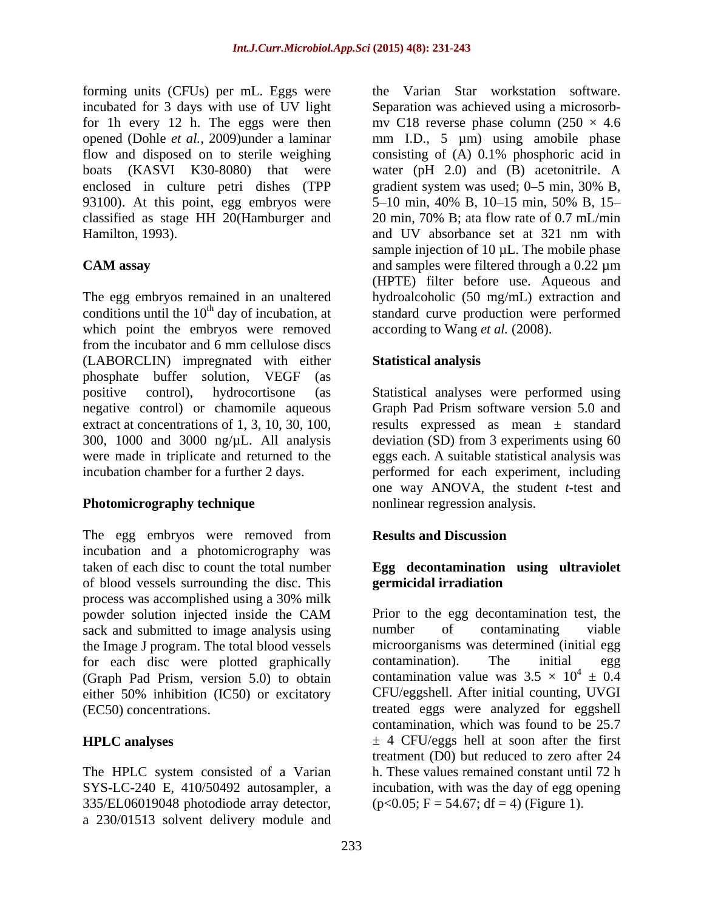flow and disposed on to sterile weighing consisting of (A) 0.1% phosphoric acid in enclosed in culture petri dishes (TPP gradient system was used; 0–5 min, 30% B, classified as stage HH 20(Hamburger and 20 min, 70% B; at a flow rate of 0.7 mL/min Hamilton, 1993).

which point the embryos were removed from the incubator and 6 mm cellulose discs (LABORCLIN) impregnated with either phosphate buffer solution, VEGF (as positive control), hydrocortisone (as Statistical analyses were performed using negative control) or chamomile aqueous Graph Pad Prism software version 5.0 and extract at concentrations of 1, 3, 10, 30, 100, results expressed as mean  $\pm$  standard 300, 1000 and 3000 ng/µL. All analysis deviation (SD) from 3 experiments using 60 were made in triplicate and returned to the eggs each. A suitable statistical analysis was incubation chamber for a further 2 days. performed for each experiment, including

## **Photomicrography technique**

The egg embryos were removed from **Results and Discussion** incubation and a photomicrography was taken of each disc to count the total number **Egg decontamination using ultraviolet** of blood vessels surrounding the disc. This process was accomplished using a 30% milk sack and submitted to image analysis using mumber of contaminating viable the Image J program. The total blood vessels microorganisms was determined (in for each disc were plotted graphically contamination). The initial for each disc were plotted graphically contamination). The initial egg (Graph Pad Prism, version 5.0) to obtain either 50% inhibition (IC50) or excitatory

The HPLC system consisted of a Varian 335/EL06019048 photodiode array detector, a 230/01513 solvent delivery module and

forming units (CFUs) per mL. Eggs were the Varian Star workstation software. incubated for 3 days with use of UV light Separation was achieved using a microsorb for 1h every 12 h. The eggs were then mv C18 reverse phase column  $(250 \times 4.6$ opened (Dohle *et al.,* 2009)under a laminar mm I.D., 5 µm) using amobilephase boats (KASVI K30-8080) that were water (pH 2.0) and (B) acetonitrile. A 93100). At this point, egg embryos were 5–10 min, 40% B, 10–15 min, 50% B, 15– **CAM assay** and samples were filtered through a 0.22  $\mu$ m The egg embryos remained in an unaltered hydroalcoholic (50 mg/mL) extraction and conditions until the  $10<sup>th</sup>$  day of incubation, at standard curve production were performed consisting of (A) 0.1% phosphoric acid in gradient system was used; 0–5 min, 30% B, 20 min, 70% B; ata flow rate of 0.7 mL/min and UV absorbance set at 321 nm with sample injection of  $10 \mu L$ . The mobile phase (HPTE) filter before use. Aqueous and according to Wang *et al.* (2008).

## **Statistical analysis**

one way ANOVA, the student *t*-test and nonlinear regression analysis.

## **Results and Discussion**

# **germicidal irradiation**

powder solution injected inside the CAM (EC50) concentrations. treated eggs were analyzed for eggshell **HPLC analyses**  $\pm 4$  CFU/eggs hell at soon after the first SYS-LC-240 E, 410/50492 autosampler, a incubation, with was the day of egg opening Prior to the egg decontamination test, the number of contaminating viable microorganisms was determined (initial egg contamination). The initial egg contamination value was  $3.5 \times 10^4 \pm 0.4$  $^{4} \pm 0.4$ CFU/eggshell. After initial counting, UVGI contamination, which was found to be 25.7 treatment (D0) but reduced to zero after 24 h. These values remained constant until 72 h  $(p<0.05; F = 54.67; df = 4)$  (Figure 1).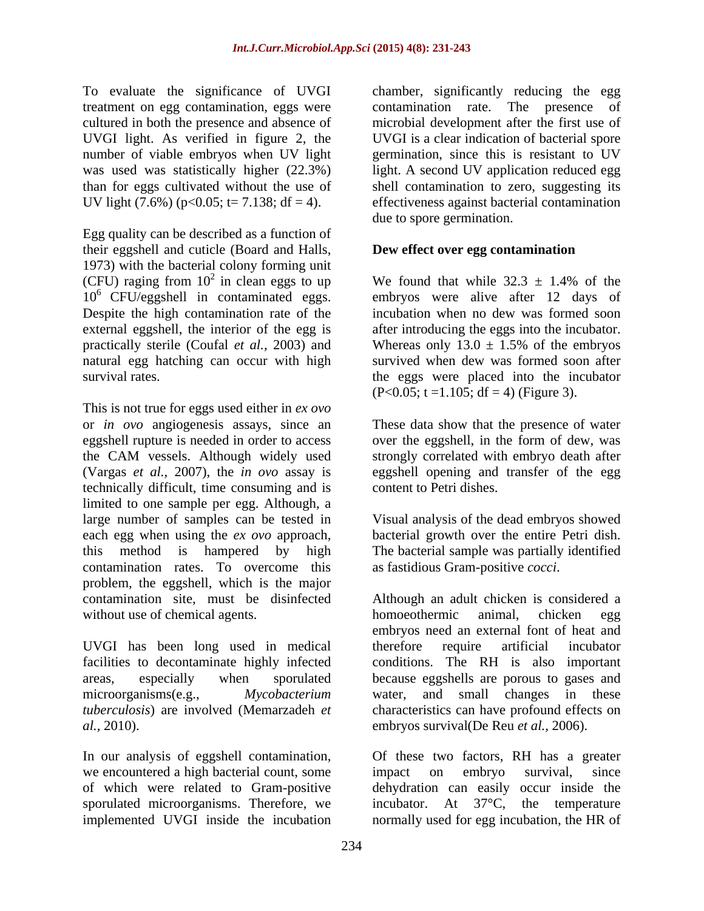cultured in both the presence and absence of UV light  $(7.6\%)$  (p<0.05; t= 7.138; df = 4).

Egg quality can be described as a function of their eggshell and cuticle (Board and Halls, 1973) with the bacterial colony forming unit (CFU) raging from  $10^2$  in clean eggs to up Despite the high contamination rate of the practically sterile (Coufal *et al.*, 2003) and Whereas only  $13.0 \pm 1.5\%$  of the embryos natural egg hatching can occur with high

This is not true for eggs used either in *ex ovo*  or *in ovo* angiogenesis assays, since an These data show that the presence of water eggshell rupture is needed in order to access over the eggshell, in the form of dew, was the CAM vessels. Although widely used strongly correlated with embryo death after (Vargas *et al.,* 2007), the *in ovo* assay is technically difficult, time consuming and is limited to one sample per egg. Although, a large number of samples can be tested in Visual analysis of the dead embryos showed each egg when using the *ex ovo* approach, bacterial growth over the entire Petri dish. this method is hampered by high The bacterial sample was partially identified contamination rates. To overcome this problem, the eggshell, which is the major contamination site, must be disinfected without use of chemical agents. homoeothermic animal, chicken egg

In our analysis of eggshell contamination, we encountered a high bacterial count, some impact on embryo survival, since

To evaluate the significance of UVGI chamber, significantly reducing the egg treatment on egg contamination, eggs were contamination rate. The presence of UVGI light. As verified in figure 2, the UVGI is a clear indication of bacterial spore number of viable embryos when UV light germination, since this is resistant to UV was used was statistically higher (22.3%) light. A second UV application reduced egg than for eggs cultivated without the use of shell contamination to zero, suggesting its microbial development after the first use of effectiveness against bacterial contamination due to spore germination.

## **Dew effect over egg contamination**

<sup>2</sup> in clean eggs to up We found that while  $32.3 \pm 1.4\%$  of the 10<sup>6</sup> CFU/eggshell in contaminated eggs. embryos were alive after 12 days of external eggshell, the interior of the egg is after introducing the eggs into the incubator. survival rates. the eggs were placed into the incubator We found that while  $32.3 \pm 1.4\%$  of the incubation when no dew was formed soon Whereas only  $13.0 \pm 1.5\%$  of the embryos survived when dew was formed soon after  $(P<0.05; t=1.105; df = 4)$  (Figure 3).

> eggshell opening and transfer of the egg content to Petri dishes.

> as fastidious Gram-positive *cocci*.

UVGI has been long used in medical facilities to decontaminate highly infected conditions. The RH is also important areas, especially when sporulated because eggshells are porous to gases and microorganisms(e.g., *Mycobacterium*  water, and small changes in these *tuberculosis*) are involved (Memarzadeh *et*  characteristics can have profound effects on *al.,* 2010). embryos survival(De Reu *et al.,* 2006). Although an adult chicken is considered a homoeothermic animal, chicken egg embryos need an external font of heat and therefore require artificial incubator

of which were related to Gram-positive dehydration can easily occur inside the sporulated microorganisms. Therefore, we incubator. At 37°C, the temperature implemented UVGI inside the incubation normally used for egg incubation, the HR ofOf these two factors, RH has a greater impact on embryo survival, since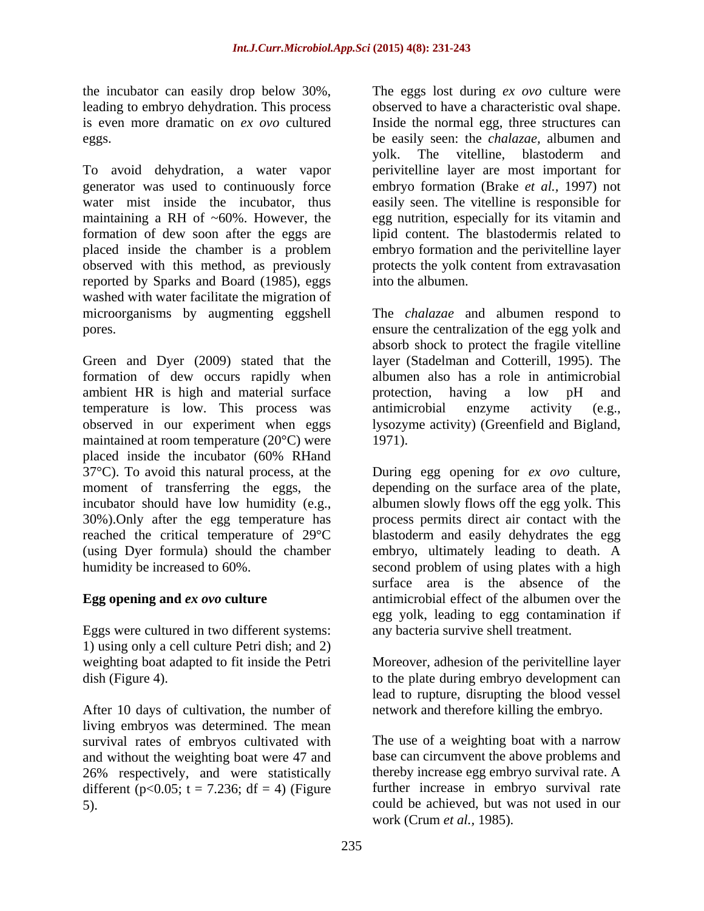the incubator can easily drop below 30%, The eggs lost during *ex ovo* culture were

To avoid dehydration, a water vapor perivitelline layer are most important for generator was used to continuously force embryo formation (Brake *et al.,* 1997) not water mist inside the incubator, thus easily seen. The vitelline is responsible for maintaining a RH of ~60%. However, the egg nutrition, especially for its vitamin and formation of dew soon after the eggs are lipid content. The blastodermis related to placed inside the chamber is a problem embryo formation and the perivitelline layer observed with this method, as previously protects the yolk content from extravasation reported by Sparks and Board (1985), eggs into the albumen. washed with water facilitate the migration of microorganisms by augmenting eggshell The *chalazae* and albumen respond to pores. ensure the centralization of the egg yolk and

Green and Dyer (2009) stated that the formation of dew occurs rapidly when ambient HR is high and material surface by protection, having a low pH and temperature is low. This process was antimicrobial enzyme activity (e.g., observed in our experiment when eggs lysozyme activity) (Greenfield and Bigland, maintained at room temperature (20°C) were 1971). placed inside the incubator (60% RHand 37°C). To avoid this natural process, at the moment of transferring the eggs, the depending on the surface area of the plate, incubator should have low humidity (e.g., albumen slowly flows off the egg yolk. This 30%).Only after the egg temperature has reached the critical temperature of 29°C blastoderm and easily dehydrates the egg (using Dyer formula) should the chamber embryo, ultimately leading to death. A humidity be increased to 60%. second problem of using plates with a high

Eggs were cultured in two different systems: 1) using only a cell culture Petri dish; and 2)

After 10 days of cultivation, the number of living embryos was determined. The mean survival rates of embryos cultivated with and without the weighting boat were 47 and different (p<0.05;  $t = 7.236$ ;  $df = 4$ ) (Figure

leading to embryo dehydration. This process observed to have a characteristic oval shape. is even more dramatic on *ex ovo* cultured Inside the normal egg, three structures can eggs. be easily seen: the *chalazae,* albumen and yolk. The vitelline, blastoderm and into the albumen.

> absorb shock to protect the fragile vitelline layer (Stadelman and Cotterill, 1995). The albumen also has a role in antimicrobial protection, having a low pH and antimicrobial enzyme activity (e.g., 1971).

**Egg opening and** *ex ovo* **culture** antimicrobial effect of the albumen over the During egg opening for *ex ovo* culture, process permits direct air contact with the surface area is the absence of the egg yolk, leading to egg contamination if any bacteria survive shell treatment.

weighting boat adapted to fit inside the Petri Moreover, adhesion of the perivitelline layer dish (Figure 4). to the plate during embryo development can lead to rupture, disrupting the blood vessel network and therefore killing the embryo.

26% respectively, and were statistically thereby increase egg embryo survival rate. A 5). could be achieved, but was not used in our The use of a weighting boat with a narrow base can circumvent the above problems and further increase in embryo survival rate work (Crum *et al.,* 1985).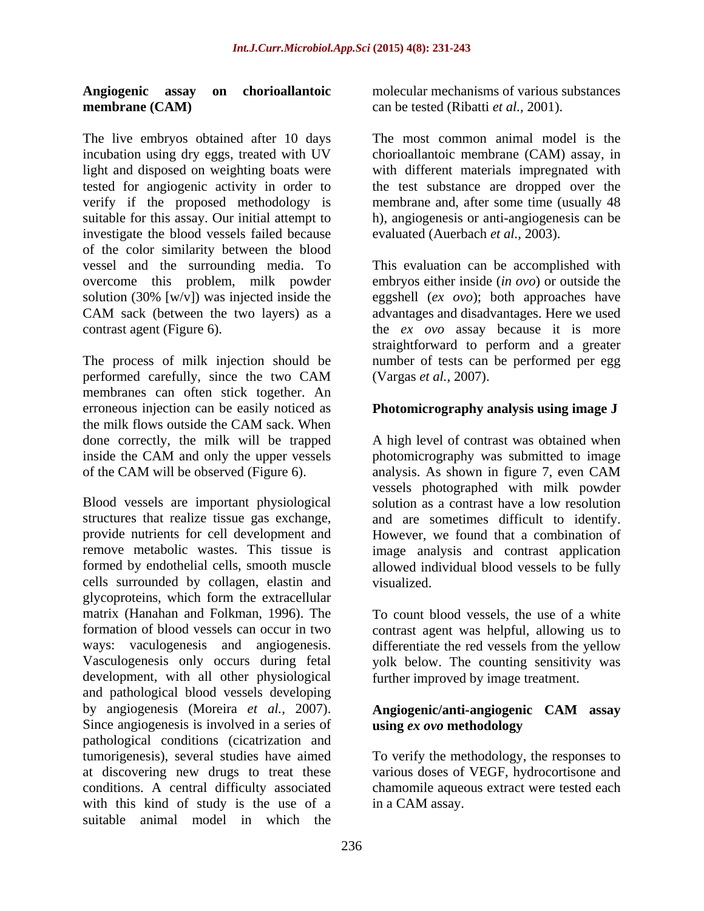## **membrane (CAM)** can be tested (Ribatti *et al.*, 2001).

The live embryos obtained after 10 days incubation using dry eggs, treated with UV chorioallantoic membrane (CAM) assay, in light and disposed on weighting boats were with different materials impregnated with tested for angiogenic activity in order to the test substance are dropped over the verify if the proposed methodology is<br>suitable for this assay. Our initial attempt to suitable for this assay. Our initial attempt to h), angiogenesis or anti-angiogenesis can be investigate the blood vessels failed because of the color similarity between the blood vessel and the surrounding media. To This evaluation can be accomplished with overcome this problem, milk powder embryos either inside (*in ovo*) or outside the solution (30% [w/v]) was injected inside the eggshell (*ex ovo*); both approaches have CAM sack (between the two layers) as a advantages and disadvantages. Here we used contrast agent (Figure 6). the *ex ovo* assay because it is more

The process of milk injection should be number of tests can be performed peregg performed carefully, since the two CAM (Vargas *et al.*, 2007). membranes can often stick together. An erroneous injection can be easily noticed as the milk flows outside the CAM sack. When of the CAM will be observed (Figure 6). analysis. As shown in figure 7, even CAM

Blood vessels are important physiological solution as a contrast have a low resolution structures that realize tissue gas exchange, and are sometimes difficult to identify. provide nutrients for cell development and However, we found that a combination of remove metabolic wastes. This tissue is image analysis and contrast application formed by endothelial cells, smooth muscle allowed individual blood vessels to be fully cells surrounded by collagen, elastin and glycoproteins, which form the extracellular matrix (Hanahan and Folkman, 1996). The formation of blood vessels can occur in two contrast agent was helpful, allowing us to ways: vaculogenesis and angiogenesis. differentiate the red vessels from the yellow Vasculogenesis only occurs during fetal yolk below. The counting sensitivity was development, with all other physiological and pathological blood vessels developing by angiogenesis (Moreira *et al.,* 2007). Since angiogenesis is involved in a series of using ex ovo methodology pathological conditions (cicatrization and tumorigenesis), several studies have aimed To verify the methodology, the responses to at discovering new drugs to treat these conditions. A central difficulty associated chamomile aqueous extract were tested each with this kind of study is the use of a suitable animal model in which the

**Angiogenic assay on chorioallantoic** molecular mechanisms of various substances

The most common animal model is the membrane and, after some time (usually 48 evaluated (Auerbach *et al.,* 2003).

straightforward to perform and a greater (Vargas *et al.,* 2007).

## **Photomicrography analysis using image J**

done correctly, the milk will be trapped A high level of contrast was obtained when inside the CAM and only the upper vessels biotomicrography was submitted to image photomicrography was submitted to image analysis. As shown in figure 7, even CAM vessels photographed with milk powder visualized.

> To count blood vessels, the use of a white further improved by image treatment.

## **Angiogenic/anti-angiogenic CAM assay using** *ex ovo* **methodology**

various doses of VEGF, hydrocortisone and in a CAM assay.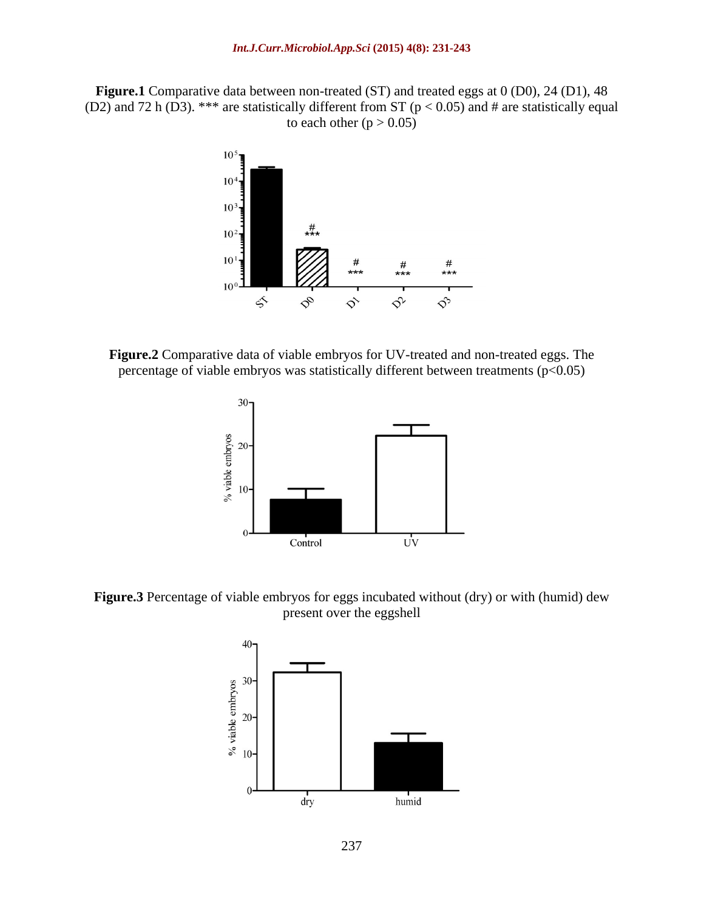**Figure.1** Comparative data between non-treated (ST) and treated eggs at 0 (D0), 24 (D1), 48 (D2) and 72 h (D3). \*\*\* are statistically different from ST ( $p < 0.05$ ) and # are statistically equal to each other  $(p > 0.05)$ 



**Figure.2** Comparative data of viable embryos for UV-treated and non-treated eggs. The percentage of viable embryos was statistically different between treatments  $(p<0.05)$ 



**Figure.3** Percentage of viable embryos for eggs incubated without (dry) or with (humid) dew present over the eggshell

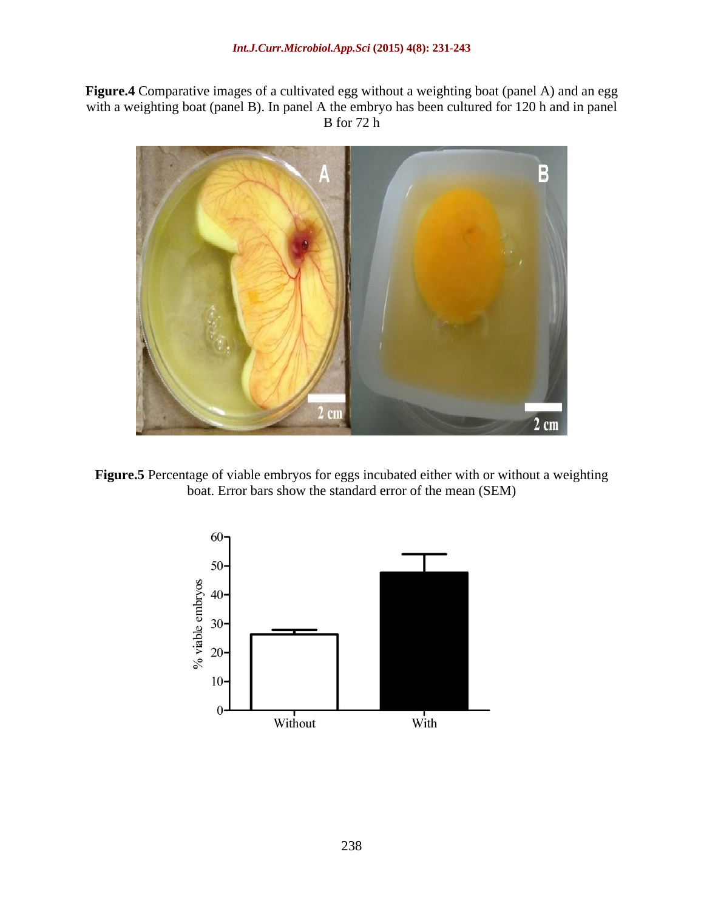**Figure.4** Comparative images of a cultivated egg without a weighting boat (panel A) and an egg with a weighting boat (panel B). In panel A the embryo has been cultured for 120 h and in panel<br>B for 72 h B for 72 h



**Figure.5** Percentage of viable embryos for eggs incubated either with or without a weighting boat. Error bars show the standard error of the mean (SEM)

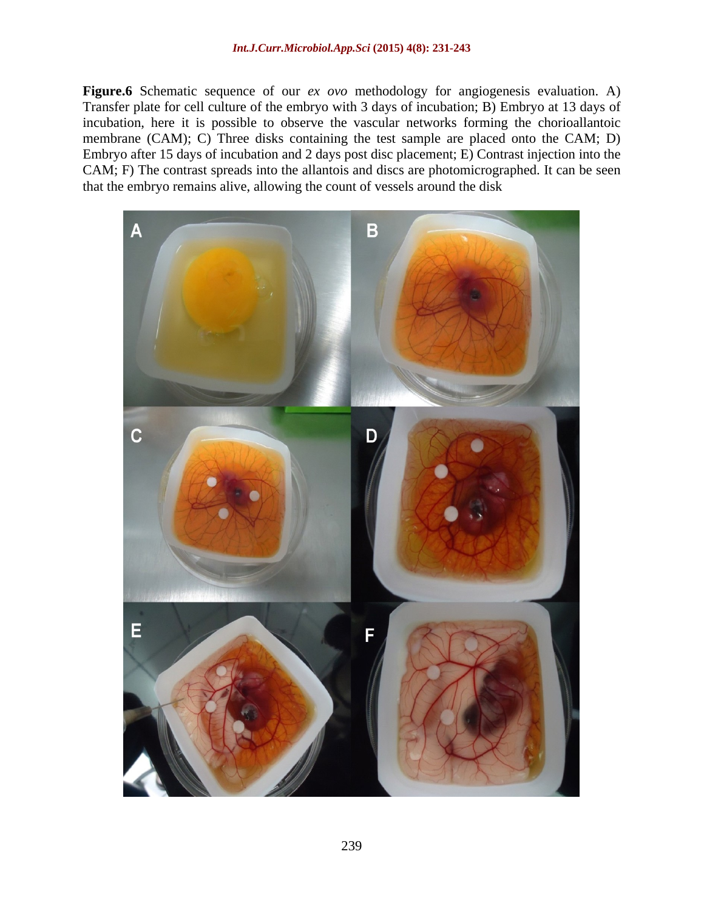**Figure.6** Schematic sequence of our *ex ovo* methodology for angiogenesis evaluation. A) Transfer plate for cell culture of the embryo with 3 days of incubation; B) Embryo at 13 days of incubation, here it is possible to observe the vascular networks forming the chorioallantoic membrane (CAM); C) Three disks containing the test sample are placed onto the CAM; D) Embryo after 15 days of incubation and 2 days post disc placement; E) Contrast injection into the CAM; F) The contrast spreads into the allantois and discs are photomicrographed. It can be seen that the embryo remains alive, allowing the count of vessels around the disk

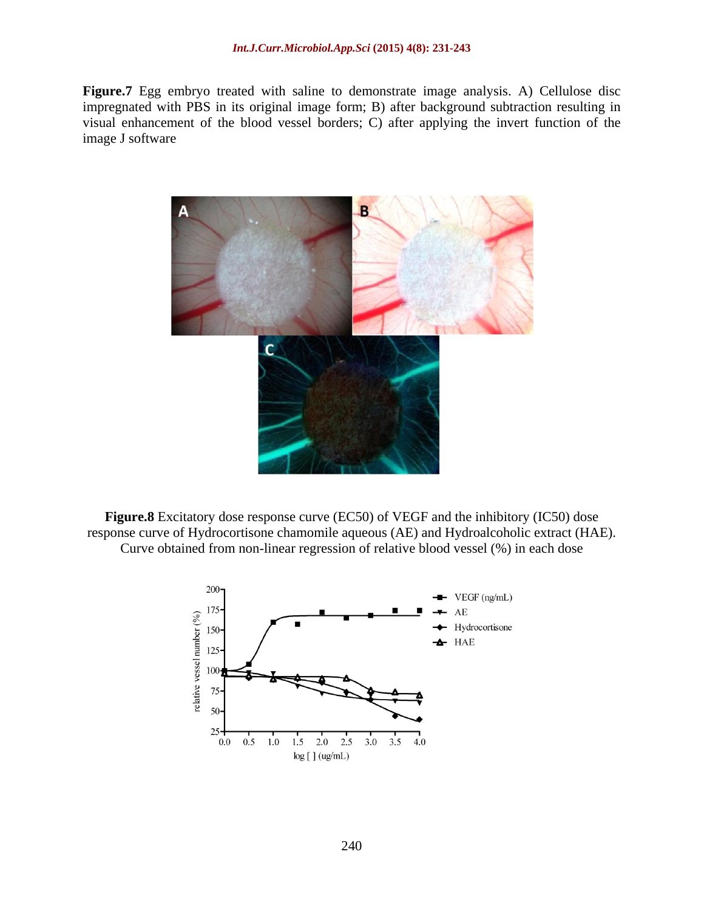**Figure.7** Egg embryo treated with saline to demonstrate image analysis. A) Cellulose disc impregnated with PBS in its original image form; B) after background subtraction resulting in visual enhancement of the blood vessel borders; C) after applying the invert function of the image J software



**Figure.8** Excitatory dose response curve (EC50) of VEGF and the inhibitory (IC50) dose response curve of Hydrocortisone chamomile aqueous (AE) and Hydroalcoholic extract (HAE). Curve obtained from non-linear regression of relative blood vessel (%) in each dose

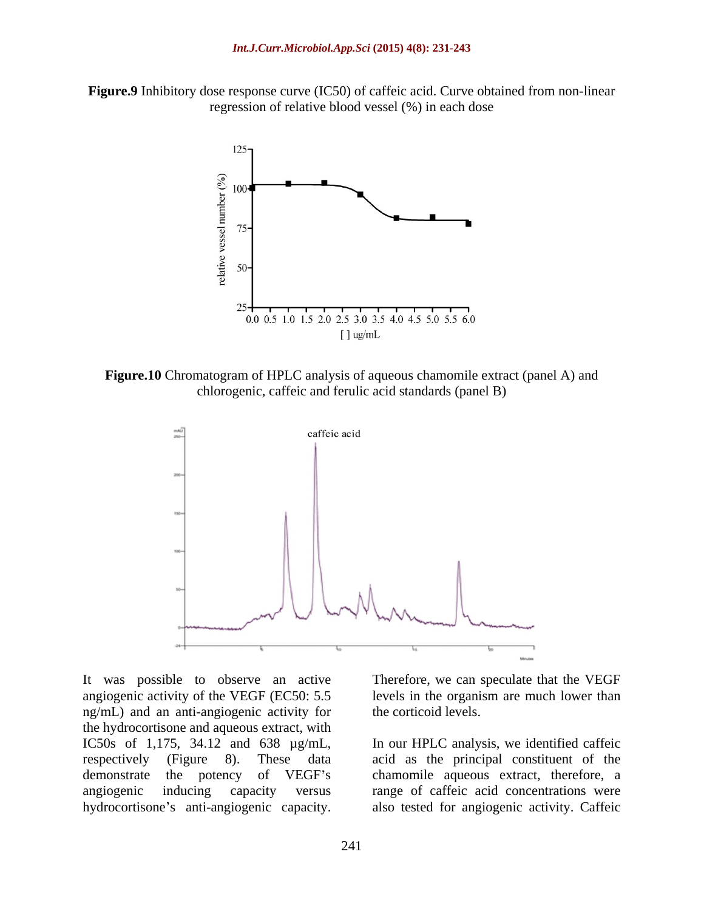**Figure.9** Inhibitory dose response curve (IC50) of caffeic acid. Curve obtained from non-linear regression of relative blood vessel (%) in each dose



**Figure.10** Chromatogram of HPLC analysis of aqueous chamomile extract (panel A) and chlorogenic, caffeic and ferulic acid standards (panel B)



It was possible to observe an active Therefore, we can speculate that the VEGF angiogenic activity of the VEGF (EC50: 5.5 ng/mL) and an anti-angiogenic activity for the hydrocortisone and aqueous extract, with IC50s of 1,175, 34.12 and 638  $\mu$ g/mL, In our HPLC analysis, we identified caffeic respectively (Figure 8). These data acid as the principal constituent of the demonstrate the potency of VEGF's chamomile aqueous extract, therefore, a angiogenic inducing capacity versus range of caffeic acid concentrations were It was possible to observe an active<br>
angiogenic activity of the VEGF (EC50: 5.5 and the organism are much lower than<br>
mg/mL) and an anti-angiogenic activity for<br>
the hydrocortisone and aqueous extract, with<br>
IC50s of 1,17

levels in the organism are much lower than the corticoid levels.

In our HPLC analysis, we identified caffeic acid as the principal constituent of the also tested for angiogenic activity. Caffeic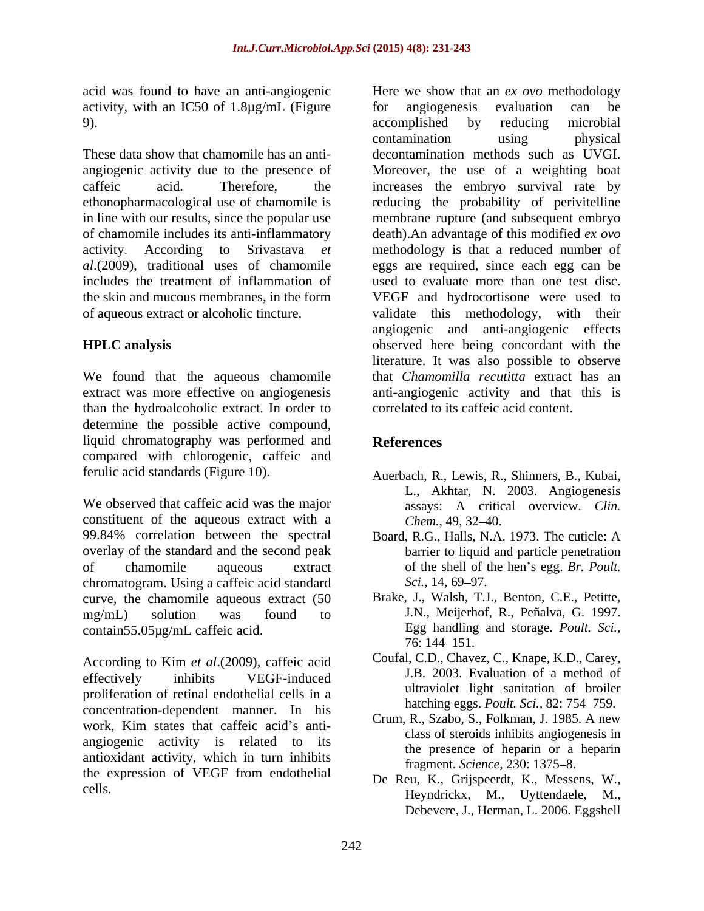acid was found to have an anti-angiogenic Here we show that an *ex ovo* methodology activity, with an IC50 of 1.8µg/mL (Figure for angiogenesis evaluation can be 9). The complished by reducing microbial examples of the complished by reducing microbial

We found that the aqueous chamomile than the hydroalcoholic extract. In order to determine the possible active compound, liquid chromatography was performed and **References** compared with chlorogenic, caffeic and

We observed that caffeic acid was the major assays: A critical overview. Clin. constituent of the aqueous extract with a Chem., 49, 32–40. 99.84% correlation between the spectral Board, R.G., Halls, N.A. 1973. The cuticle: A overlay of the standard and the second peak of chamomile aqueous extract of the shell of the hen s egg. *Br. Poult.* chromatogram. Using a caffeic acid standard Sci., 14, 69–97. curve, the chamomile aqueous extract (50 mg/mL) solution was found to J.N., Meijerhof, R., Peñalva, G. 1997. contain55.05µg/mL caffeic acid. Egg handling<br>76: 144–151.

According to Kim *et al*.(2009), caffeic acid effectively inhibits VEGF-induced J.B. 2003. Evaluation of a method of proliferation of retinal endothelial cells in a concentration-dependent manner. In his work, Kim states that caffeic acid's anti-<br> $\frac{1}{2}$   $\frac{1}{2}$   $\frac{1}{2}$   $\frac{1}{2}$   $\frac{1}{2}$   $\frac{1}{2}$   $\frac{1}{2}$   $\frac{1}{2}$   $\frac{1}{2}$   $\frac{1}{2}$   $\frac{1}{2}$   $\frac{1}{2}$   $\frac{1}{2}$   $\frac{1}{2}$   $\frac{1}{2}$   $\frac{1}{2}$   $\frac{1}{2}$   $\frac{1}{2}$ angiogenic activity is related to its antioxidant activity, which in turn inhibits the expression of VEGF from endothelial

These data show that chamomile has an anti- decontamination methods such as UVGI. angiogenic activity due to the presence of Moreover, the use of a weighting boat caffeic acid. Therefore, the increases the embryo survival rate by ethonopharmacological use of chamomile is reducing the probability of perivitelline in line with our results, since the popular use membrane rupture (and subsequent embryo of chamomile includes its anti-inflammatory death).An advantage of this modified *ex ovo* activity. According to Srivastava *et*  methodology is that a reduced number of *al*.(2009), traditional uses of chamomile eggs are required, since each egg can be includes the treatment of inflammation of used to evaluate more than one test disc. the skin and mucous membranes, in the form VEGF and hydrocortisone were used to of aqueous extract or alcoholic tincture. validate this methodology, with their **HPLC analysis** observed here being concordant with the extract was more effective on angiogenesis anti-angiogenic activity and that this is for angiogenesis evaluation can be accomplished by reducing microbial contamination using physical angiogenic and anti-angiogenic effects literature. It was also possible to observe that *Chamomilla recutitta* extract has an correlated to its caffeic acid content.

## **References**

- ferulic acid standards (Figure 10). Auerbach, R., Lewis, R., Shinners, B., Kubai, L., Akhtar, N. 2003. Angiogenesis *Chem.,* 49, 32–40.
	- barrier to liquid and particle penetration *Sci.,* 14, 69–97.
	- Brake, J., Walsh, T.J., Benton, C.E., Petitte, Egg handling and storage. *Poult. Sci.,* 76: 144 151.
	- Coufal, C.D., Chavez, C., Knape, K.D., Carey, J.B. 2003. Evaluation of a method of ultraviolet light sanitation of broiler hatching eggs. *Poult. Sci.*, 82: 754–759.
	- Crum, R., Szabo, S., Folkman, J. 1985. A new class of steroids inhibits angiogenesis in the presence of heparin or a heparin fragment. *Science*, 230: 1375-8.
- cells. Examples of the example of the example of the example of the example of the example of the example of the example of the example of the example of the example of the example of the example of the example of the exam De Reu, K., Grijspeerdt, K., Messens, W., Debevere, J., Herman, L. 2006. Eggshell